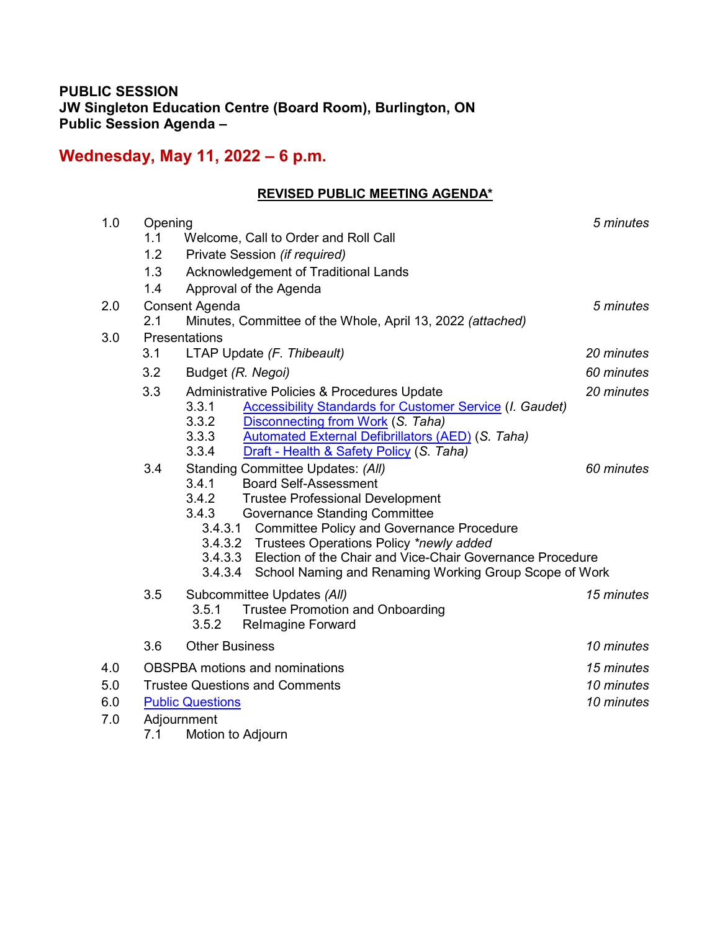# **PUBLIC SESSION JW Singleton Education Centre (Board Room), Burlington, ON Public Session Agenda –**

# **Wednesday, May 11, 2022 – 6 p.m.**

# **REVISED PUBLIC MEETING AGENDA\***

| 1.0 | Opening                               |                                                                                                    | 5 minutes  |  |
|-----|---------------------------------------|----------------------------------------------------------------------------------------------------|------------|--|
|     | 1.1                                   | Welcome, Call to Order and Roll Call                                                               |            |  |
|     | 1.2                                   | Private Session (if required)                                                                      |            |  |
|     | 1.3                                   | Acknowledgement of Traditional Lands                                                               |            |  |
|     | 1.4                                   | Approval of the Agenda                                                                             |            |  |
| 2.0 | Consent Agenda                        |                                                                                                    | 5 minutes  |  |
|     | 2.1                                   | Minutes, Committee of the Whole, April 13, 2022 (attached)                                         |            |  |
| 3.0 | Presentations                         |                                                                                                    |            |  |
|     | 3.1                                   | LTAP Update (F. Thibeault)                                                                         | 20 minutes |  |
|     | 3.2                                   | Budget (R. Negoi)                                                                                  | 60 minutes |  |
|     | 3.3                                   | Administrative Policies & Procedures Update                                                        | 20 minutes |  |
|     |                                       | 3.3.1<br><b>Accessibility Standards for Customer Service (I. Gaudet)</b>                           |            |  |
|     |                                       | 3.3.2<br>Disconnecting from Work (S. Taha)                                                         |            |  |
|     |                                       | 3.3.3<br><b>Automated External Defibrillators (AED) (S. Taha)</b>                                  |            |  |
|     |                                       | 3.3.4<br>Draft - Health & Safety Policy (S. Taha)                                                  |            |  |
|     | 3.4                                   | Standing Committee Updates: (All)                                                                  | 60 minutes |  |
|     |                                       | 3.4.1<br><b>Board Self-Assessment</b>                                                              |            |  |
|     |                                       | 3.4.2<br><b>Trustee Professional Development</b>                                                   |            |  |
|     |                                       | 3.4.3<br><b>Governance Standing Committee</b><br>3.4.3.1 Committee Policy and Governance Procedure |            |  |
|     |                                       | 3.4.3.2 Trustees Operations Policy *newly added                                                    |            |  |
|     |                                       | 3.4.3.3 Election of the Chair and Vice-Chair Governance Procedure                                  |            |  |
|     |                                       | 3.4.3.4<br>School Naming and Renaming Working Group Scope of Work                                  |            |  |
|     | 3.5                                   | Subcommittee Updates (All)                                                                         | 15 minutes |  |
|     |                                       | 3.5.1<br><b>Trustee Promotion and Onboarding</b>                                                   |            |  |
|     |                                       | 3.5.2<br><b>Relmagine Forward</b>                                                                  |            |  |
|     | 3.6                                   | <b>Other Business</b>                                                                              | 10 minutes |  |
|     |                                       |                                                                                                    | 15 minutes |  |
| 4.0 | <b>OBSPBA</b> motions and nominations |                                                                                                    |            |  |
| 5.0 | <b>Trustee Questions and Comments</b> |                                                                                                    | 10 minutes |  |
| 6.0 | <b>Public Questions</b>               |                                                                                                    | 10 minutes |  |
| 7.0 | Adjournment                           |                                                                                                    |            |  |
|     | 7.1                                   | Motion to Adjourn                                                                                  |            |  |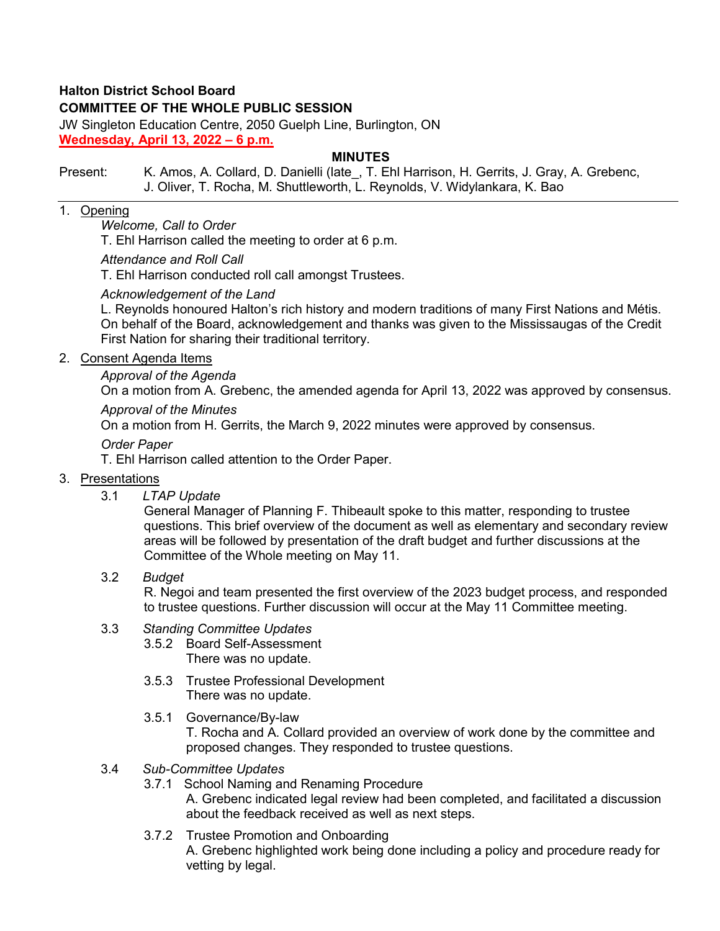# **Halton District School Board**

# **COMMITTEE OF THE WHOLE PUBLIC SESSION**

JW Singleton Education Centre, 2050 Guelph Line, Burlington, ON **Wednesday, April 13, 2022 – 6 p.m.**

# **MINUTES**

Present: K. Amos, A. Collard, D. Danielli (late, T. Ehl Harrison, H. Gerrits, J. Gray, A. Grebenc, J. Oliver, T. Rocha, M. Shuttleworth, L. Reynolds, V. Widylankara, K. Bao

#### 1. Opening

#### *Welcome, Call to Order*

T. Ehl Harrison called the meeting to order at 6 p.m.

#### *Attendance and Roll Call*

T. Ehl Harrison conducted roll call amongst Trustees.

#### *Acknowledgement of the Land*

L. Reynolds honoured Halton's rich history and modern traditions of many First Nations and Métis. On behalf of the Board, acknowledgement and thanks was given to the Mississaugas of the Credit First Nation for sharing their traditional territory.

#### 2. Consent Agenda Items

# *Approval of the Agenda*

On a motion from A. Grebenc, the amended agenda for April 13, 2022 was approved by consensus.

# *Approval of the Minutes*

On a motion from H. Gerrits, the March 9, 2022 minutes were approved by consensus.

# *Order Paper*

T. Ehl Harrison called attention to the Order Paper.

# 3. Presentations

3.1 *LTAP Update* 

General Manager of Planning F. Thibeault spoke to this matter, responding to trustee questions. This brief overview of the document as well as elementary and secondary review areas will be followed by presentation of the draft budget and further discussions at the Committee of the Whole meeting on May 11.

3.2 *Budget* 

R. Negoi and team presented the first overview of the 2023 budget process, and responded to trustee questions. Further discussion will occur at the May 11 Committee meeting.

# 3.3 *Standing Committee Updates*

- 3.5.2 Board Self-Assessment There was no update.
	-
- 3.5.3 Trustee Professional Development There was no update.
- 3.5.1 Governance/By-law

T. Rocha and A. Collard provided an overview of work done by the committee and proposed changes. They responded to trustee questions.

- 3.4 *Sub-Committee Updates*
	- 3.7.1 School Naming and Renaming Procedure A. Grebenc indicated legal review had been completed, and facilitated a discussion about the feedback received as well as next steps.
	- 3.7.2 Trustee Promotion and Onboarding

A. Grebenc highlighted work being done including a policy and procedure ready for vetting by legal.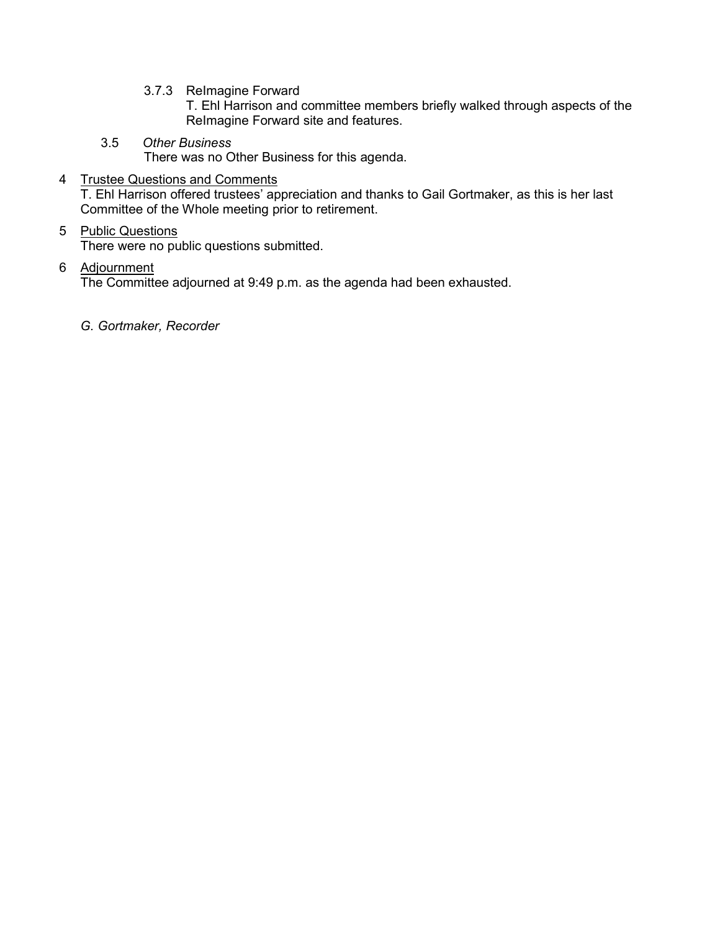3.7.3 ReImagine Forward

T. Ehl Harrison and committee members briefly walked through aspects of the ReImagine Forward site and features.

3.5 *Other Business*

There was no Other Business for this agenda.

# 4 Trustee Questions and Comments

T. Ehl Harrison offered trustees' appreciation and thanks to Gail Gortmaker, as this is her last Committee of the Whole meeting prior to retirement.

# 5 Public Questions

There were no public questions submitted.

# 6 Adjournment

The Committee adjourned at 9:49 p.m. as the agenda had been exhausted.

*G. Gortmaker, Recorder*